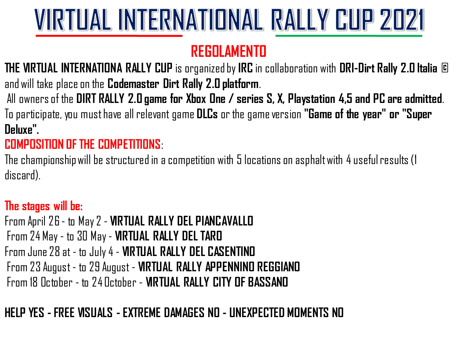## **REGOLAMENTO**

**THE VIRTUAL INTERNATIONA RALLY CUP** is organized by **IRC** in collaboration with **DRI-Dirt Rally 2.0 Italia ©**  and will take place on the **Codemaster Dirt Rally 2.0 platform**.

All owners of the **DIRT RALLY 2.0 game for Xbox One / series S, X, Playstation 4,5 and PC are admitted**. To participate, you must have all relevant game **DLCs** or the game version **"Game of the year" or "Super Deluxe".** 

## **COMPOSITION OF THE COMPETITIONS**:

The championship will be structured in a competition with 5 locations on asphalt with 4 useful results (1 discard).

## **The stages will be:**

From April 26 - to May 2 - **VIRTUAL RALLY DEL PIANCAVALLO** From 24 May - to 30 May - **VIRTUAL RALLY DEL TARO**  From June 28 at - to July 4 - **VIRTUAL RALLY DEL CASENTINO** From 23 August - to 29 August - **VIRTUAL RALLY APPENNINO REGGIANO** From 18 October - to 24 October - **VIRTUAL RALLY CITY OF BASSANO** 

## **HELP YES - FREE VISUALS -EXTREME DAMAGES NO - UNEXPECTED MOMENTS NO**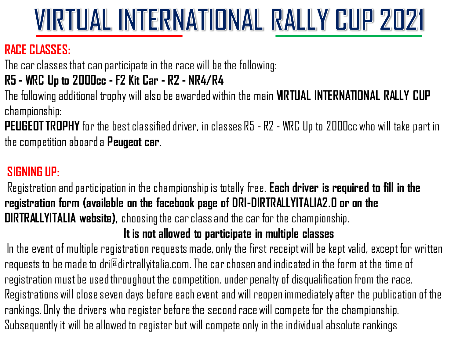## **RACE CLASSES:**

The car classes that can participate in the race will be the following:

### **R5 - WRC Up to 2000cc - F2 Kit Car - R2 - NR4/R4**

The following additional trophy will also be awarded within the main **VIRTUAL INTERNATIONAL RALLY CUP**  championship:

**PEUGEOT TROPHY** for the best classified driver, in classes R5 - R2 - WRC Up to 2000cc who will take part in the competition aboard a **Peugeot car**.

## **SIGNING UP:**

Registration and participation in the championship is totally free. **Each driver is required to fill in the registration form (available on the facebook page of DRI-DIRTRALLYITALIA2.0 or on the DIRTRALLYITALIA website),** choosing the car class and the car for the championship.

#### **It is not allowed to participate in multiple classes**

In the event of multiple registration requests made, only the first receipt will be kept valid, except for written requests to be made to dri@dirtrallyitalia.com. The car chosen and indicated in the form at the time of registration must be used throughout the competition, under penalty of disqualification from the race. Registrations will close seven days before each event and will reopen immediately after the publication of the rankings. Only the drivers who register before the second race will compete for the championship. Subsequently it will be allowed to register but will compete only in the individual absolute rankings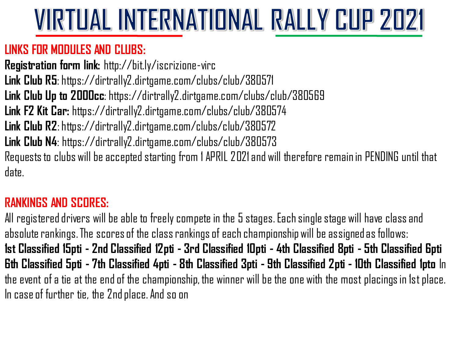### **LINKS FOR MODULES AND CLUBS:**

**Registration form link:** http://bit.ly/iscrizione-virc **Link Club R5**: https://dirtrally2.dirtgame.com/clubs/club/380571 **Link Club Up to 2000cc**: https://dirtrally2.dirtgame.com/clubs/club/380569 **Link F2 Kit Car:** https://dirtrally2.dirtgame.com/clubs/club/380574 **Link Club R2**: https://dirtrally2.dirtgame.com/clubs/club/380572 **Link Club N4**: https://dirtrally2.dirtgame.com/clubs/club/380573 Requests to clubs will be accepted starting from 1 APRIL 2021 and will therefore remain in PENDING until that date.

## **RANKINGS AND SCORES:**

All registered drivers will be able to freely compete in the 5 stages. Each single stage will have class and absolute rankings. The scores of the class rankings of each championship will be assigned as follows: **1st Classified 15pti - 2nd Classified 12pti - 3rd Classified 10pti - 4th Classified 8pti - 5th Classified 6pti 6th Classified 5pti - 7th Classified 4pti - 8th Classified 3pti - 9th Classified 2pti - 10th Classified 1pto** In the event of a tie at the end of the championship, the winner will be the one with the most placingsin 1st place. In case of further tie, the 2nd place. And so on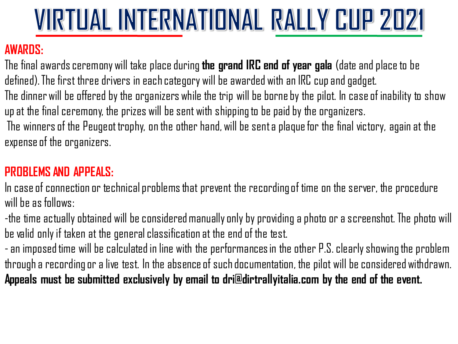## **AWARDS:**

The final awards ceremony will take place during **the grand IRC end of year gala** (date and place to be defined). The first three drivers in each category will be awarded with an IRC cup and gadget. The dinner will be offered by the organizers while the trip will be borne by the pilot. In case of inability to show up at the final ceremony, the prizes will be sent with shipping to be paid by the organizers. The winners of the Peugeot trophy, on the other hand, will be sent a plaque for the final victory, again at the expense of the organizers.

### **PROBLEMS AND APPEALS:**

In case of connection or technical problems that prevent the recording of time on the server, the procedure will he as follows:

-the time actually obtained will be considered manually only by providing a photo or a screenshot. The photo will be valid only if taken at the general classification at the end of the test.

-an imposed time will be calculated in line with the performances in the other P.S. clearly showing the problem through a recording or a live test. In the absence of such documentation, the pilot will be considered withdrawn. **Appeals must be submitted exclusively by email to dri@dirtrallyitalia.com by the end of the event.**